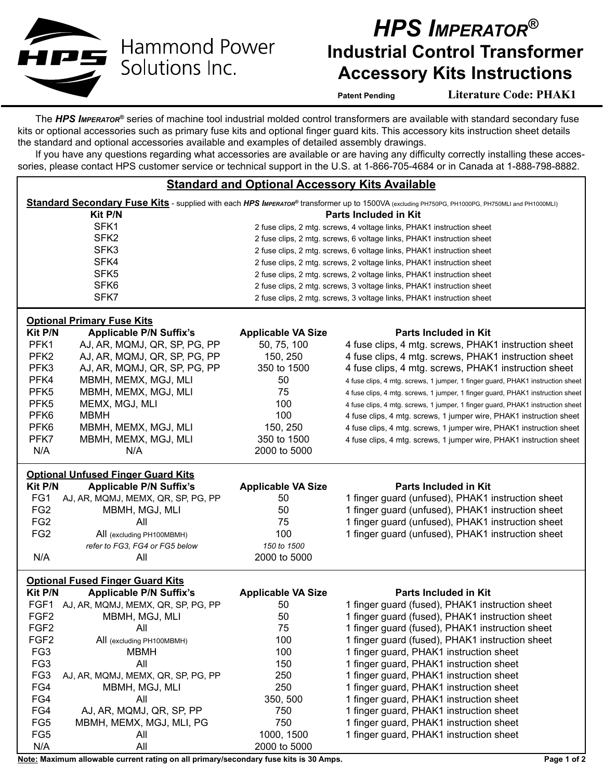

**Hammond Power** Solutions Inc.

## *HPS Imperator®* **Industrial Control Transformer Accessory Kits Instructions**

**Patent Pending Literature Code: PHAK1**

The *HPS Imperator®* series of machine tool industrial molded control transformers are available with standard secondary fuse kits or optional accessories such as primary fuse kits and optional finger guard kits. This accessory kits instruction sheet details the standard and optional accessories available and examples of detailed assembly drawings.

If you have any questions regarding what accessories are available or are having any difficulty correctly installing these accessories, please contact HPS customer service or technical support in the U.S. at 1-866-705-4684 or in Canada at 1-888-798-8882.

## **Standard and Optional Accessory Kits Available**

| Standard Secondary Fuse Kits - supplied with each HPS IMPERATOR® transformer up to 1500VA (excluding PH750PG, PH1000PG, PH750MLI and PH1000MLI) |                                                                     |                                                                       |                                                                                |  |
|-------------------------------------------------------------------------------------------------------------------------------------------------|---------------------------------------------------------------------|-----------------------------------------------------------------------|--------------------------------------------------------------------------------|--|
|                                                                                                                                                 | Kit P/N                                                             |                                                                       | Parts Included in Kit                                                          |  |
| SFK1                                                                                                                                            |                                                                     | 2 fuse clips, 2 mtg. screws, 4 voltage links, PHAK1 instruction sheet |                                                                                |  |
| SFK <sub>2</sub>                                                                                                                                |                                                                     | 2 fuse clips, 2 mtg. screws, 6 voltage links, PHAK1 instruction sheet |                                                                                |  |
| SFK3                                                                                                                                            |                                                                     | 2 fuse clips, 2 mtg. screws, 6 voltage links, PHAK1 instruction sheet |                                                                                |  |
| SFK4                                                                                                                                            |                                                                     | 2 fuse clips, 2 mtg. screws, 2 voltage links, PHAK1 instruction sheet |                                                                                |  |
| SFK <sub>5</sub>                                                                                                                                |                                                                     | 2 fuse clips, 2 mtg. screws, 2 voltage links, PHAK1 instruction sheet |                                                                                |  |
| SFK <sub>6</sub>                                                                                                                                |                                                                     | 2 fuse clips, 2 mtg. screws, 3 voltage links, PHAK1 instruction sheet |                                                                                |  |
| SFK7                                                                                                                                            |                                                                     | 2 fuse clips, 2 mtg. screws, 3 voltage links, PHAK1 instruction sheet |                                                                                |  |
|                                                                                                                                                 |                                                                     |                                                                       |                                                                                |  |
| Kit P/N                                                                                                                                         | <b>Optional Primary Fuse Kits</b><br><b>Applicable P/N Suffix's</b> | <b>Applicable VA Size</b>                                             | <b>Parts Included in Kit</b>                                                   |  |
| PFK1                                                                                                                                            |                                                                     |                                                                       |                                                                                |  |
|                                                                                                                                                 | AJ, AR, MQMJ, QR, SP, PG, PP                                        | 50, 75, 100                                                           | 4 fuse clips, 4 mtg. screws, PHAK1 instruction sheet                           |  |
| PFK <sub>2</sub>                                                                                                                                | AJ, AR, MQMJ, QR, SP, PG, PP                                        | 150, 250                                                              | 4 fuse clips, 4 mtg. screws, PHAK1 instruction sheet                           |  |
| PFK3                                                                                                                                            | AJ, AR, MQMJ, QR, SP, PG, PP                                        | 350 to 1500                                                           | 4 fuse clips, 4 mtg. screws, PHAK1 instruction sheet                           |  |
| PFK4                                                                                                                                            | MBMH, MEMX, MGJ, MLI                                                | 50                                                                    | 4 fuse clips, 4 mtg. screws, 1 jumper, 1 finger guard, PHAK1 instruction sheet |  |
| PFK <sub>5</sub>                                                                                                                                | MBMH, MEMX, MGJ, MLI                                                | 75                                                                    | 4 fuse clips, 4 mtg. screws, 1 jumper, 1 finger guard, PHAK1 instruction sheet |  |
| PFK <sub>5</sub>                                                                                                                                | MEMX, MGJ, MLI                                                      | 100                                                                   | 4 fuse clips, 4 mtg. screws, 1 jumper, 1 finger guard, PHAK1 instruction sheet |  |
| PFK <sub>6</sub>                                                                                                                                | <b>MBMH</b>                                                         | 100                                                                   | 4 fuse clips, 4 mtg. screws, 1 jumper wire, PHAK1 instruction sheet            |  |
| PFK <sub>6</sub>                                                                                                                                | MBMH, MEMX, MGJ, MLI                                                | 150, 250                                                              | 4 fuse clips, 4 mtg. screws, 1 jumper wire, PHAK1 instruction sheet            |  |
| PFK7                                                                                                                                            | MBMH, MEMX, MGJ, MLI                                                | 350 to 1500                                                           | 4 fuse clips, 4 mtg. screws, 1 jumper wire, PHAK1 instruction sheet            |  |
| N/A                                                                                                                                             | N/A                                                                 | 2000 to 5000                                                          |                                                                                |  |
| <b>Optional Unfused Finger Guard Kits</b>                                                                                                       |                                                                     |                                                                       |                                                                                |  |
| Kit P/N                                                                                                                                         | <b>Applicable P/N Suffix's</b>                                      | <b>Applicable VA Size</b>                                             | <b>Parts Included in Kit</b>                                                   |  |
| FG1                                                                                                                                             | AJ, AR, MQMJ, MEMX, QR, SP, PG, PP                                  | 50                                                                    | 1 finger guard (unfused), PHAK1 instruction sheet                              |  |
| FG <sub>2</sub>                                                                                                                                 | MBMH, MGJ, MLI                                                      | 50                                                                    | 1 finger guard (unfused), PHAK1 instruction sheet                              |  |
| FG <sub>2</sub>                                                                                                                                 | All                                                                 | 75                                                                    | 1 finger guard (unfused), PHAK1 instruction sheet                              |  |
| FG <sub>2</sub>                                                                                                                                 | All (excluding PH100MBMH)                                           | 100                                                                   | 1 finger guard (unfused), PHAK1 instruction sheet                              |  |
|                                                                                                                                                 | refer to FG3, FG4 or FG5 below                                      | 150 to 1500                                                           |                                                                                |  |
| N/A                                                                                                                                             | All                                                                 | 2000 to 5000                                                          |                                                                                |  |
|                                                                                                                                                 |                                                                     |                                                                       |                                                                                |  |
| <b>Optional Fused Finger Guard Kits</b>                                                                                                         |                                                                     |                                                                       |                                                                                |  |
| Kit P/N                                                                                                                                         | <b>Applicable P/N Suffix's</b>                                      | <b>Applicable VA Size</b>                                             | Parts Included in Kit                                                          |  |
|                                                                                                                                                 | FGF1 AJ, AR, MQMJ, MEMX, QR, SP, PG, PP                             | 50                                                                    | 1 finger guard (fused), PHAK1 instruction sheet                                |  |
| FGF <sub>2</sub>                                                                                                                                | MBMH, MGJ, MLI                                                      | 50                                                                    | 1 finger guard (fused), PHAK1 instruction sheet                                |  |
| FGF <sub>2</sub>                                                                                                                                | All                                                                 | 75                                                                    | 1 finger guard (fused), PHAK1 instruction sheet                                |  |
| FGF <sub>2</sub>                                                                                                                                | All (excluding PH100MBMH)                                           | 100                                                                   | 1 finger guard (fused), PHAK1 instruction sheet                                |  |
| FG <sub>3</sub>                                                                                                                                 | <b>MBMH</b>                                                         | 100                                                                   | 1 finger guard, PHAK1 instruction sheet                                        |  |
| FG <sub>3</sub>                                                                                                                                 | All                                                                 | 150                                                                   | 1 finger guard, PHAK1 instruction sheet                                        |  |
| FG <sub>3</sub>                                                                                                                                 | AJ, AR, MQMJ, MEMX, QR, SP, PG, PP                                  | 250                                                                   | 1 finger guard, PHAK1 instruction sheet                                        |  |
| FG4                                                                                                                                             | MBMH, MGJ, MLI                                                      | 250                                                                   | 1 finger guard, PHAK1 instruction sheet                                        |  |
| FG4                                                                                                                                             | All                                                                 | 350, 500                                                              | 1 finger guard, PHAK1 instruction sheet                                        |  |
| FG4                                                                                                                                             | AJ, AR, MQMJ, QR, SP, PP                                            | 750                                                                   | 1 finger guard, PHAK1 instruction sheet                                        |  |
| FG <sub>5</sub>                                                                                                                                 | MBMH, MEMX, MGJ, MLI, PG                                            | 750                                                                   | 1 finger guard, PHAK1 instruction sheet                                        |  |
| FG <sub>5</sub>                                                                                                                                 | All                                                                 | 1000, 1500                                                            | 1 finger guard, PHAK1 instruction sheet                                        |  |
| N/A                                                                                                                                             | All                                                                 | 2000 to 5000                                                          |                                                                                |  |